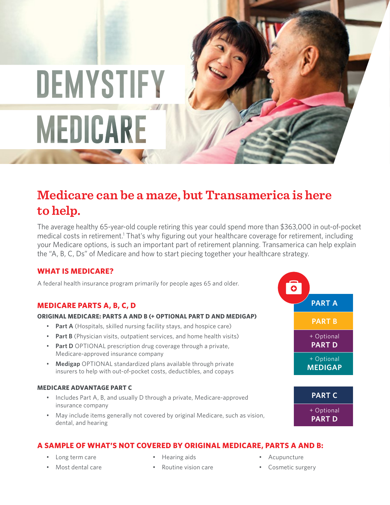# DEMYSTIFY MEDICARE

## **Medicare can be a maze, but Transamerica is here to help.**

The average healthy 65-year-old couple retiring this year could spend more than \$363,000 in out-of-pocket medical costs in retirement.<sup>1</sup> That's why figuring out your healthcare coverage for retirement, including your Medicare options, is such an important part of retirement planning. Transamerica can help explain the "A, B, C, Ds" of Medicare and how to start piecing together your healthcare strategy.

#### **WHAT IS MEDICARE?**

A federal health insurance program primarily for people ages 65 and older.

#### **MEDICARE PARTS A, B, C, D**

#### **ORIGINAL MEDICARE: PARTS A AND B (+ OPTIONAL PART D AND MEDIGAP)**

- **Part A** (Hospitals, skilled nursing facility stays, and hospice care)
- **Part B** (Physician visits, outpatient services, and home health visits)
- **Part D** OPTIONAL prescription drug coverage through a private, Medicare-approved insurance company
- **Medigap** OPTIONAL standardized plans available through private insurers to help with out-of-pocket costs, deductibles, and copays

#### **MEDICARE ADVANTAGE PART C**

- Includes Part A, B, and usually D through a private, Medicare-approved insurance company
- May include items generally not covered by original Medicare, such as vision, dental, and hearing

#### **A SAMPLE OF WHAT'S NOT COVERED BY ORIGINAL MEDICARE, PARTS A AND B:**

- Long term care
- Most dental care
- Hearing aids
- Routine vision care
- Acupuncture
- Cosmetic surgery

 $\bullet$ **PART A PART B** + Optional **PART D** + Optional **MEDIGAP PART C**